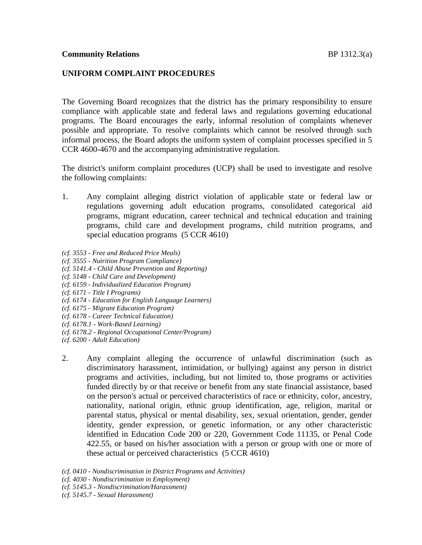# **UNIFORM COMPLAINT PROCEDURES**

The Governing Board recognizes that the district has the primary responsibility to ensure compliance with applicable state and federal laws and regulations governing educational programs. The Board encourages the early, informal resolution of complaints whenever possible and appropriate. To resolve complaints which cannot be resolved through such informal process, the Board adopts the uniform system of complaint processes specified in 5 CCR 4600-4670 and the accompanying administrative regulation.

The district's uniform complaint procedures (UCP) shall be used to investigate and resolve the following complaints:

- 1. Any complaint alleging district violation of applicable state or federal law or regulations governing adult education programs, consolidated categorical aid programs, migrant education, career technical and technical education and training programs, child care and development programs, child nutrition programs, and special education programs (5 CCR 4610)
- *(cf. 3553 - Free and Reduced Price Meals)*
- *(cf. 3555 - Nutrition Program Compliance)*
- *(cf. 5141.4 - Child Abuse Prevention and Reporting)*
- *(cf. 5148 - Child Care and Development)*
- *(cf. 6159 - Individualized Education Program)*
- *(cf. 6171 - Title I Programs)*
- *(cf. 6174 - Education for English Language Learners)*
- *(cf. 6175 - Migrant Education Program)*
- *(cf. 6178 - Career Technical Education)*
- *(cf. 6178.1 - Work-Based Learning)*
- *(cf. 6178.2 - Regional Occupational Center/Program)*
- *(cf. 6200 - Adult Education)*
- 2. Any complaint alleging the occurrence of unlawful discrimination (such as discriminatory harassment, intimidation, or bullying) against any person in district programs and activities, including, but not limited to, those programs or activities funded directly by or that receive or benefit from any state financial assistance, based on the person's actual or perceived characteristics of race or ethnicity, color, ancestry, nationality, national origin, ethnic group identification, age, religion, marital or parental status, physical or mental disability, sex, sexual orientation, gender, gender identity, gender expression, or genetic information, or any other characteristic identified in Education Code 200 or 220, Government Code 11135, or Penal Code 422.55, or based on his/her association with a person or group with one or more of these actual or perceived characteristics (5 CCR 4610)

*(cf. 0410 - Nondiscrimination in District Programs and Activities)*

- *(cf. 4030 - Nondiscrimination in Employment)*
- *(cf. 5145.3 - Nondiscrimination/Harassment)*
- *(cf. 5145.7 - Sexual Harassment)*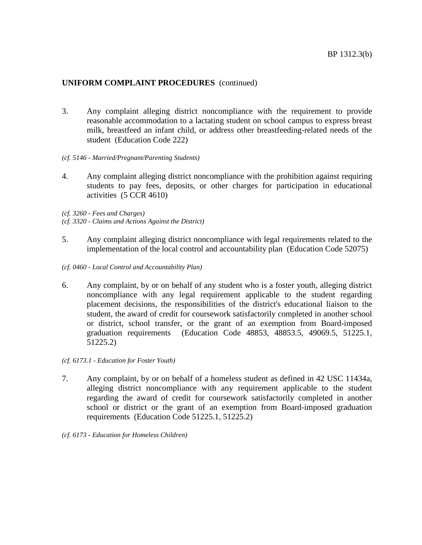- 3. Any complaint alleging district noncompliance with the requirement to provide reasonable accommodation to a lactating student on school campus to express breast milk, breastfeed an infant child, or address other breastfeeding-related needs of the student (Education Code 222)
- *(cf. 5146 - Married/Pregnant/Parenting Students)*
- 4. Any complaint alleging district noncompliance with the prohibition against requiring students to pay fees, deposits, or other charges for participation in educational activities (5 CCR 4610)

*(cf. 3260 - Fees and Charges)*

- *(cf. 3320 - Claims and Actions Against the District)*
- 5. Any complaint alleging district noncompliance with legal requirements related to the implementation of the local control and accountability plan (Education Code 52075)
- *(cf. 0460 - Local Control and Accountability Plan)*
- 6. Any complaint, by or on behalf of any student who is a foster youth, alleging district noncompliance with any legal requirement applicable to the student regarding placement decisions, the responsibilities of the district's educational liaison to the student, the award of credit for coursework satisfactorily completed in another school or district, school transfer, or the grant of an exemption from Board-imposed graduation requirements (Education Code 48853, 48853.5, 49069.5, 51225.1, 51225.2)
- *(cf. 6173.1 - Education for Foster Youth)*
- 7. Any complaint, by or on behalf of a homeless student as defined in 42 USC 11434a, alleging district noncompliance with any requirement applicable to the student regarding the award of credit for coursework satisfactorily completed in another school or district or the grant of an exemption from Board-imposed graduation requirements (Education Code 51225.1, 51225.2)
- *(cf. 6173 - Education for Homeless Children)*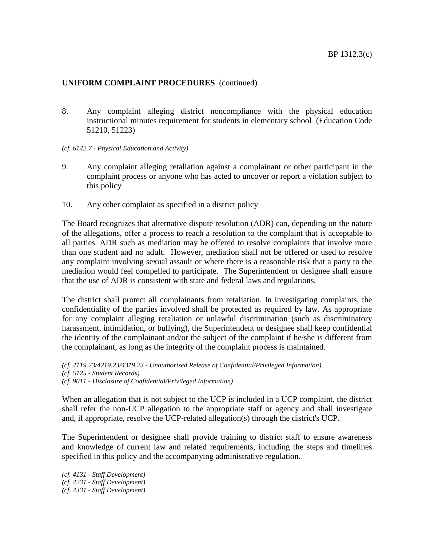8. Any complaint alleging district noncompliance with the physical education instructional minutes requirement for students in elementary school (Education Code 51210, 51223)

### *(cf. 6142.7 - Physical Education and Activity)*

- 9. Any complaint alleging retaliation against a complainant or other participant in the complaint process or anyone who has acted to uncover or report a violation subject to this policy
- 10. Any other complaint as specified in a district policy

The Board recognizes that alternative dispute resolution (ADR) can, depending on the nature of the allegations, offer a process to reach a resolution to the complaint that is acceptable to all parties. ADR such as mediation may be offered to resolve complaints that involve more than one student and no adult. However, mediation shall not be offered or used to resolve any complaint involving sexual assault or where there is a reasonable risk that a party to the mediation would feel compelled to participate. The Superintendent or designee shall ensure that the use of ADR is consistent with state and federal laws and regulations.

The district shall protect all complainants from retaliation. In investigating complaints, the confidentiality of the parties involved shall be protected as required by law. As appropriate for any complaint alleging retaliation or unlawful discrimination (such as discriminatory harassment, intimidation, or bullying), the Superintendent or designee shall keep confidential the identity of the complainant and/or the subject of the complaint if he/she is different from the complainant, as long as the integrity of the complaint process is maintained.

*(cf. 4119.23/4219.23/4319.23 - Unauthorized Release of Confidential/Privileged Information) (cf. 5125 - Student Records) (cf. 9011 - Disclosure of Confidential/Privileged Information)*

When an allegation that is not subject to the UCP is included in a UCP complaint, the district shall refer the non-UCP allegation to the appropriate staff or agency and shall investigate and, if appropriate, resolve the UCP-related allegation(s) through the district's UCP.

The Superintendent or designee shall provide training to district staff to ensure awareness and knowledge of current law and related requirements, including the steps and timelines specified in this policy and the accompanying administrative regulation.

*(cf. 4131 - Staff Development) (cf. 4231 - Staff Development) (cf. 4331 - Staff Development)*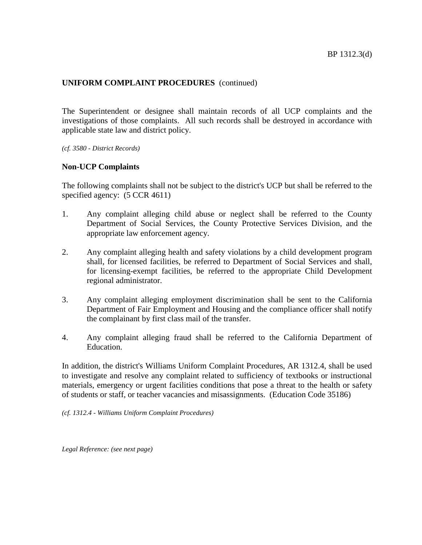The Superintendent or designee shall maintain records of all UCP complaints and the investigations of those complaints. All such records shall be destroyed in accordance with applicable state law and district policy.

*(cf. 3580 - District Records)*

## **Non-UCP Complaints**

The following complaints shall not be subject to the district's UCP but shall be referred to the specified agency:  $(5 \text{ CCR } 4611)$ 

- 1. Any complaint alleging child abuse or neglect shall be referred to the County Department of Social Services, the County Protective Services Division, and the appropriate law enforcement agency.
- 2. Any complaint alleging health and safety violations by a child development program shall, for licensed facilities, be referred to Department of Social Services and shall, for licensing-exempt facilities, be referred to the appropriate Child Development regional administrator.
- 3. Any complaint alleging employment discrimination shall be sent to the California Department of Fair Employment and Housing and the compliance officer shall notify the complainant by first class mail of the transfer.
- 4. Any complaint alleging fraud shall be referred to the California Department of Education.

In addition, the district's Williams Uniform Complaint Procedures, AR 1312.4, shall be used to investigate and resolve any complaint related to sufficiency of textbooks or instructional materials, emergency or urgent facilities conditions that pose a threat to the health or safety of students or staff, or teacher vacancies and misassignments. (Education Code 35186)

*(cf. 1312.4 - Williams Uniform Complaint Procedures)*

*Legal Reference: (see next page)*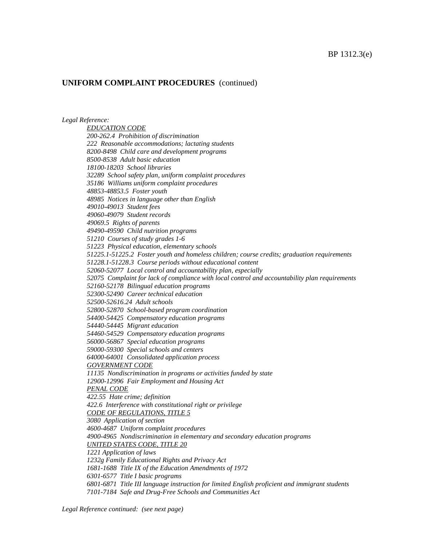#### *Legal Reference:*

*EDUCATION CODE 200-262.4 Prohibition of discrimination 222 Reasonable accommodations; lactating students 8200-8498 Child care and development programs 8500-8538 Adult basic education 18100-18203 School libraries 32289 School safety plan, uniform complaint procedures 35186 Williams uniform complaint procedures 48853-48853.5 Foster youth 48985 Notices in language other than English 49010-49013 Student fees 49060-49079 Student records 49069.5 Rights of parents 49490-49590 Child nutrition programs 51210 Courses of study grades 1-6 51223 Physical education, elementary schools 51225.1-51225.2 Foster youth and homeless children; course credits; graduation requirements 51228.1-51228.3 Course periods without educational content 52060-52077 Local control and accountability plan, especially 52075 Complaint for lack of compliance with local control and accountability plan requirements 52160-52178 Bilingual education programs 52300-52490 Career technical education 52500-52616.24 Adult schools 52800-52870 School-based program coordination 54400-54425 Compensatory education programs 54440-54445 Migrant education 54460-54529 Compensatory education programs 56000-56867 Special education programs 59000-59300 Special schools and centers 64000-64001 Consolidated application process GOVERNMENT CODE 11135 Nondiscrimination in programs or activities funded by state 12900-12996 Fair Employment and Housing Act PENAL CODE 422.55 Hate crime; definition 422.6 Interference with constitutional right or privilege CODE OF REGULATIONS, TITLE 5 3080 Application of section 4600-4687 Uniform complaint procedures 4900-4965 Nondiscrimination in elementary and secondary education programs UNITED STATES CODE, TITLE 20 1221 Application of laws 1232g Family Educational Rights and Privacy Act 1681-1688 Title IX of the Education Amendments of 1972 6301-6577 Title I basic programs 6801-6871 Title III language instruction for limited English proficient and immigrant students 7101-7184 Safe and Drug-Free Schools and Communities Act*